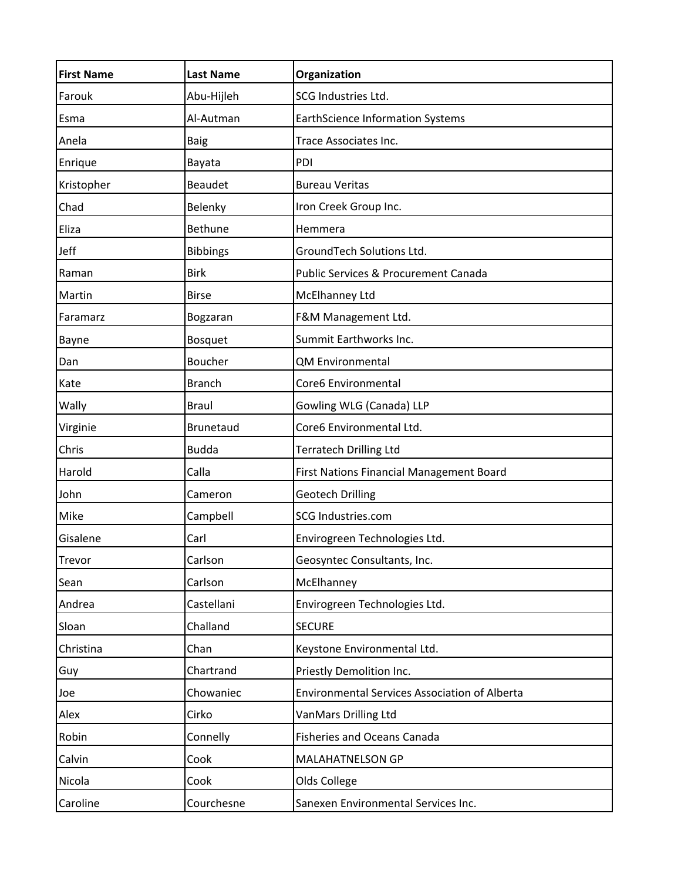| <b>First Name</b> | <b>Last Name</b> | Organization                                         |
|-------------------|------------------|------------------------------------------------------|
| Farouk            | Abu-Hijleh       | SCG Industries Ltd.                                  |
| Esma              | Al-Autman        | <b>EarthScience Information Systems</b>              |
| Anela             | <b>Baig</b>      | Trace Associates Inc.                                |
| Enrique           | Bayata           | PDI                                                  |
| Kristopher        | <b>Beaudet</b>   | <b>Bureau Veritas</b>                                |
| Chad              | Belenky          | Iron Creek Group Inc.                                |
| Eliza             | <b>Bethune</b>   | Hemmera                                              |
| Jeff              | <b>Bibbings</b>  | GroundTech Solutions Ltd.                            |
| Raman             | <b>Birk</b>      | Public Services & Procurement Canada                 |
| Martin            | <b>Birse</b>     | McElhanney Ltd                                       |
| Faramarz          | Bogzaran         | F&M Management Ltd.                                  |
| Bayne             | <b>Bosquet</b>   | Summit Earthworks Inc.                               |
| Dan               | Boucher          | <b>QM Environmental</b>                              |
| Kate              | <b>Branch</b>    | Core6 Environmental                                  |
| Wally             | <b>Braul</b>     | Gowling WLG (Canada) LLP                             |
| Virginie          | <b>Brunetaud</b> | Core6 Environmental Ltd.                             |
| Chris             | <b>Budda</b>     | <b>Terratech Drilling Ltd</b>                        |
| Harold            | Calla            | First Nations Financial Management Board             |
| John              | Cameron          | <b>Geotech Drilling</b>                              |
| Mike              | Campbell         | SCG Industries.com                                   |
| Gisalene          | Carl             | Envirogreen Technologies Ltd.                        |
| Trevor            | Carlson          | Geosyntec Consultants, Inc.                          |
| Sean              | Carlson          | McElhanney                                           |
| Andrea            | Castellani       | Envirogreen Technologies Ltd.                        |
| Sloan             | Challand         | <b>SECURE</b>                                        |
| Christina         | Chan             | Keystone Environmental Ltd.                          |
| Guy               | Chartrand        | Priestly Demolition Inc.                             |
| Joe               | Chowaniec        | <b>Environmental Services Association of Alberta</b> |
| Alex              | Cirko            | VanMars Drilling Ltd                                 |
| Robin             | Connelly         | <b>Fisheries and Oceans Canada</b>                   |
| Calvin            | Cook             | MALAHATNELSON GP                                     |
| Nicola            | Cook             | Olds College                                         |
| Caroline          | Courchesne       | Sanexen Environmental Services Inc.                  |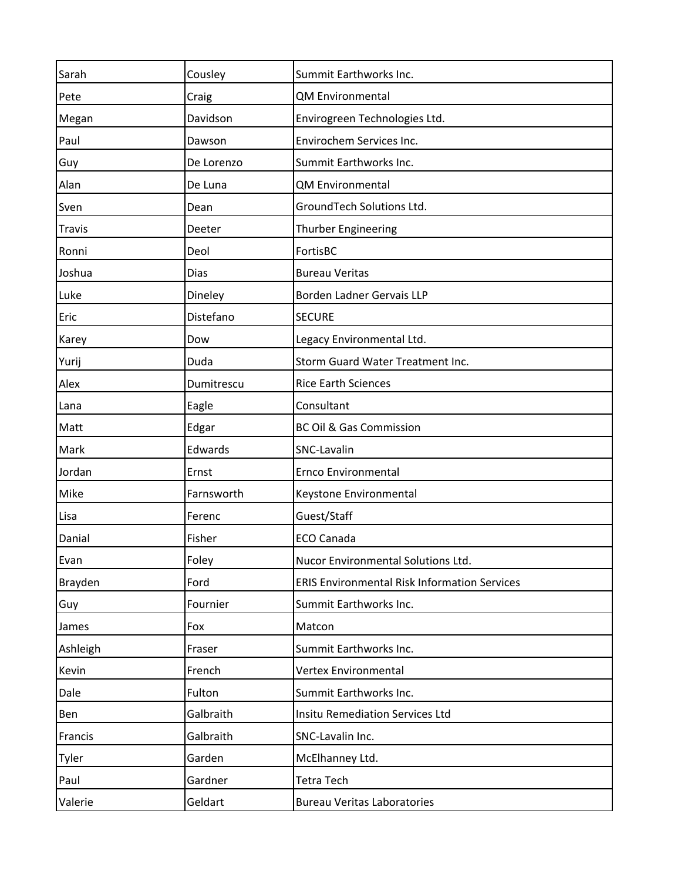| Sarah         | Cousley     | Summit Earthworks Inc.                              |
|---------------|-------------|-----------------------------------------------------|
| Pete          | Craig       | QM Environmental                                    |
| Megan         | Davidson    | Envirogreen Technologies Ltd.                       |
| Paul          | Dawson      | Envirochem Services Inc.                            |
| Guy           | De Lorenzo  | Summit Earthworks Inc.                              |
| Alan          | De Luna     | QM Environmental                                    |
| Sven          | Dean        | GroundTech Solutions Ltd.                           |
| <b>Travis</b> | Deeter      | Thurber Engineering                                 |
| Ronni         | Deol        | FortisBC                                            |
| Joshua        | <b>Dias</b> | <b>Bureau Veritas</b>                               |
| Luke          | Dineley     | Borden Ladner Gervais LLP                           |
| Eric          | Distefano   | <b>SECURE</b>                                       |
| Karey         | Dow         | Legacy Environmental Ltd.                           |
| Yurij         | Duda        | Storm Guard Water Treatment Inc.                    |
| Alex          | Dumitrescu  | <b>Rice Earth Sciences</b>                          |
| Lana          | Eagle       | Consultant                                          |
| Matt          | Edgar       | <b>BC Oil &amp; Gas Commission</b>                  |
| Mark          | Edwards     | SNC-Lavalin                                         |
| Jordan        | Ernst       | Ernco Environmental                                 |
| Mike          | Farnsworth  | Keystone Environmental                              |
| Lisa          | Ferenc      | Guest/Staff                                         |
| Danial        | Fisher      | <b>ECO Canada</b>                                   |
| Evan          | Foley       | Nucor Environmental Solutions Ltd.                  |
| Brayden       | Ford        | <b>ERIS Environmental Risk Information Services</b> |
| Guy           | Fournier    | Summit Earthworks Inc.                              |
| James         | Fox         | Matcon                                              |
| Ashleigh      | Fraser      | Summit Earthworks Inc.                              |
| Kevin         | French      | <b>Vertex Environmental</b>                         |
| Dale          | Fulton      | Summit Earthworks Inc.                              |
| Ben           | Galbraith   | <b>Insitu Remediation Services Ltd</b>              |
| Francis       | Galbraith   | SNC-Lavalin Inc.                                    |
| Tyler         | Garden      | McElhanney Ltd.                                     |
| Paul          | Gardner     | <b>Tetra Tech</b>                                   |
| Valerie       | Geldart     | <b>Bureau Veritas Laboratories</b>                  |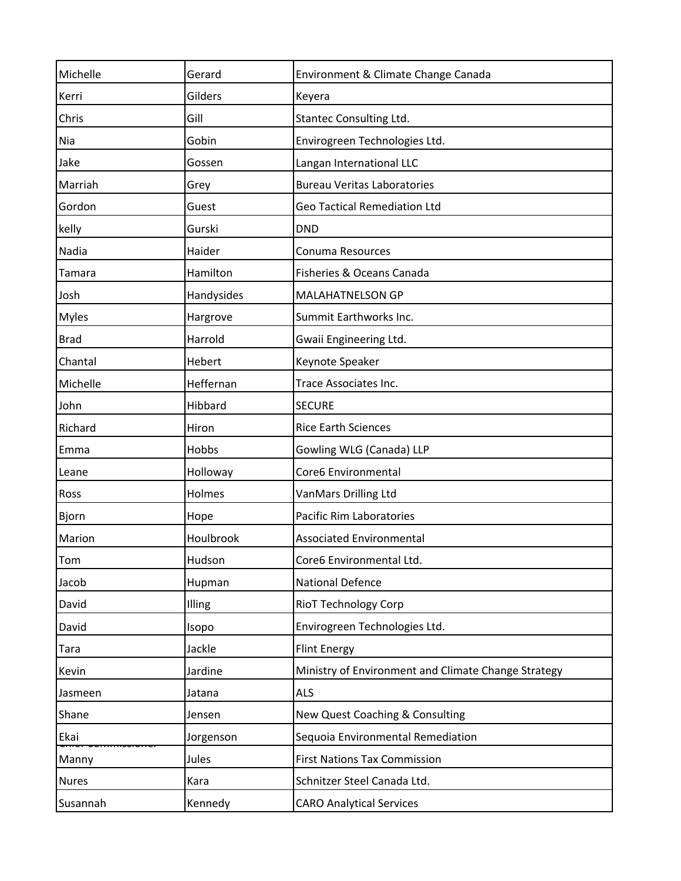| Michelle     | Gerard     | Environment & Climate Change Canada                 |
|--------------|------------|-----------------------------------------------------|
| Kerri        | Gilders    | Keyera                                              |
| Chris        | Gill       | Stantec Consulting Ltd.                             |
| Nia          | Gobin      | Envirogreen Technologies Ltd.                       |
| Jake         | Gossen     | Langan International LLC                            |
| Marriah      | Grey       | <b>Bureau Veritas Laboratories</b>                  |
| Gordon       | Guest      | <b>Geo Tactical Remediation Ltd</b>                 |
| kelly        | Gurski     | <b>DND</b>                                          |
| Nadia        | Haider     | Conuma Resources                                    |
| Tamara       | Hamilton   | Fisheries & Oceans Canada                           |
| Josh         | Handysides | <b>MALAHATNELSON GP</b>                             |
| <b>Myles</b> | Hargrove   | Summit Earthworks Inc.                              |
| <b>Brad</b>  | Harrold    | Gwaii Engineering Ltd.                              |
| Chantal      | Hebert     | Keynote Speaker                                     |
| Michelle     | Heffernan  | Trace Associates Inc.                               |
| John         | Hibbard    | <b>SECURE</b>                                       |
| Richard      | Hiron      | <b>Rice Earth Sciences</b>                          |
| Emma         | Hobbs      | Gowling WLG (Canada) LLP                            |
| Leane        | Holloway   | Core6 Environmental                                 |
| Ross         | Holmes     | VanMars Drilling Ltd                                |
| Bjorn        | Hope       | Pacific Rim Laboratories                            |
| Marion       | Houlbrook  | <b>Associated Environmental</b>                     |
| Tom          | Hudson     | Core6 Environmental Ltd.                            |
| Jacob        | Hupman     | <b>National Defence</b>                             |
| David        | Illing     | <b>RioT Technology Corp</b>                         |
| David        | Isopo      | Envirogreen Technologies Ltd.                       |
| Tara         | Jackle     | <b>Flint Energy</b>                                 |
| Kevin        | Jardine    | Ministry of Environment and Climate Change Strategy |
| Jasmeen      | Jatana     | <b>ALS</b>                                          |
| Shane        | Jensen     | New Quest Coaching & Consulting                     |
| Ekai         | Jorgenson  | Sequoia Environmental Remediation                   |
| Manny        | Jules      | <b>First Nations Tax Commission</b>                 |
| <b>Nures</b> | Kara       | Schnitzer Steel Canada Ltd.                         |
| Susannah     | Kennedy    | <b>CARO Analytical Services</b>                     |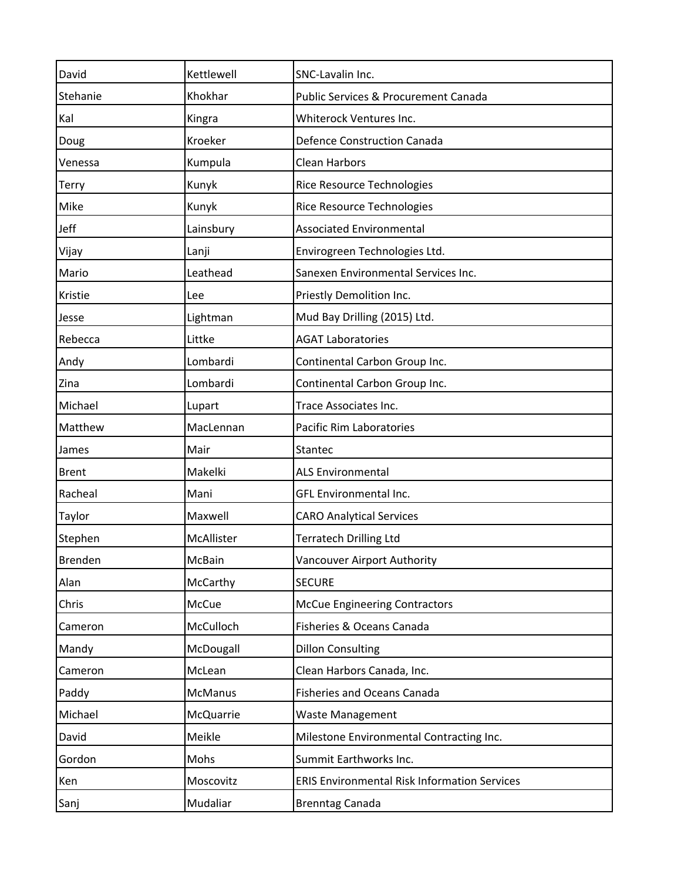| David        | Kettlewell     | SNC-Lavalin Inc.                                    |
|--------------|----------------|-----------------------------------------------------|
| Stehanie     | Khokhar        | Public Services & Procurement Canada                |
| Kal          | Kingra         | Whiterock Ventures Inc.                             |
| Doug         | Kroeker        | <b>Defence Construction Canada</b>                  |
| Venessa      | Kumpula        | <b>Clean Harbors</b>                                |
| Terry        | Kunyk          | <b>Rice Resource Technologies</b>                   |
| Mike         | Kunyk          | Rice Resource Technologies                          |
| Jeff         | Lainsbury      | <b>Associated Environmental</b>                     |
| Vijay        | Lanji          | Envirogreen Technologies Ltd.                       |
| Mario        | Leathead       | Sanexen Environmental Services Inc.                 |
| Kristie      | Lee            | Priestly Demolition Inc.                            |
| Jesse        | Lightman       | Mud Bay Drilling (2015) Ltd.                        |
| Rebecca      | Littke         | <b>AGAT Laboratories</b>                            |
| Andy         | Lombardi       | Continental Carbon Group Inc.                       |
| Zina         | Lombardi       | Continental Carbon Group Inc.                       |
| Michael      | Lupart         | Trace Associates Inc.                               |
| Matthew      | MacLennan      | <b>Pacific Rim Laboratories</b>                     |
| James        | Mair           | Stantec                                             |
| <b>Brent</b> | Makelki        | <b>ALS Environmental</b>                            |
| Racheal      | Mani           | GFL Environmental Inc.                              |
| Taylor       | Maxwell        | <b>CARO Analytical Services</b>                     |
| Stephen      | McAllister     | <b>Terratech Drilling Ltd</b>                       |
| Brenden      | McBain         | Vancouver Airport Authority                         |
| Alan         | McCarthy       | <b>SECURE</b>                                       |
| Chris        | McCue          | <b>McCue Engineering Contractors</b>                |
| Cameron      | McCulloch      | Fisheries & Oceans Canada                           |
| Mandy        | McDougall      | <b>Dillon Consulting</b>                            |
| Cameron      | McLean         | Clean Harbors Canada, Inc.                          |
| Paddy        | <b>McManus</b> | <b>Fisheries and Oceans Canada</b>                  |
| Michael      | McQuarrie      | Waste Management                                    |
| David        | Meikle         | Milestone Environmental Contracting Inc.            |
| Gordon       | Mohs           | Summit Earthworks Inc.                              |
| Ken          | Moscovitz      | <b>ERIS Environmental Risk Information Services</b> |
| Sanj         | Mudaliar       | <b>Brenntag Canada</b>                              |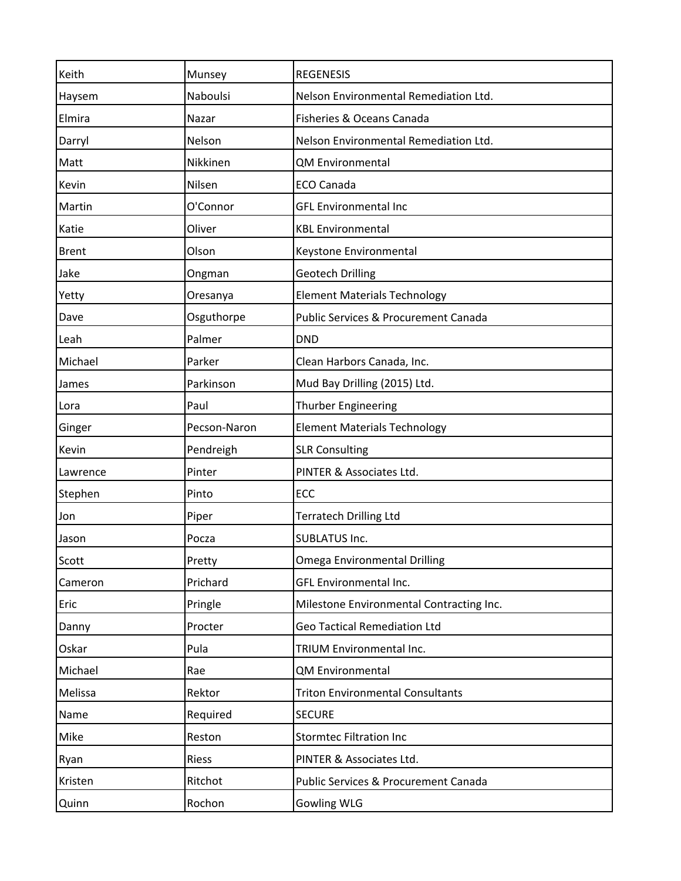| Keith        | Munsey       | <b>REGENESIS</b>                         |
|--------------|--------------|------------------------------------------|
| Haysem       | Naboulsi     | Nelson Environmental Remediation Ltd.    |
| Elmira       | Nazar        | Fisheries & Oceans Canada                |
| Darryl       | Nelson       | Nelson Environmental Remediation Ltd.    |
| Matt         | Nikkinen     | QM Environmental                         |
| Kevin        | Nilsen       | <b>ECO Canada</b>                        |
| Martin       | O'Connor     | <b>GFL Environmental Inc</b>             |
| Katie        | Oliver       | <b>KBL Environmental</b>                 |
| <b>Brent</b> | Olson        | Keystone Environmental                   |
| Jake         | Ongman       | <b>Geotech Drilling</b>                  |
| Yetty        | Oresanya     | <b>Element Materials Technology</b>      |
| Dave         | Osguthorpe   | Public Services & Procurement Canada     |
| Leah         | Palmer       | <b>DND</b>                               |
| Michael      | Parker       | Clean Harbors Canada, Inc.               |
| James        | Parkinson    | Mud Bay Drilling (2015) Ltd.             |
| Lora         | Paul         | Thurber Engineering                      |
| Ginger       | Pecson-Naron | <b>Element Materials Technology</b>      |
| Kevin        | Pendreigh    | <b>SLR Consulting</b>                    |
| Lawrence     | Pinter       | PINTER & Associates Ltd.                 |
| Stephen      | Pinto        | ECC                                      |
| Jon          | Piper        | <b>Terratech Drilling Ltd</b>            |
| Jason        | Pocza        | <b>SUBLATUS Inc.</b>                     |
| Scott        | Pretty       | <b>Omega Environmental Drilling</b>      |
| Cameron      | Prichard     | GFL Environmental Inc.                   |
| Eric         | Pringle      | Milestone Environmental Contracting Inc. |
| Danny        | Procter      | <b>Geo Tactical Remediation Ltd</b>      |
| Oskar        | Pula         | <b>TRIUM Environmental Inc.</b>          |
| Michael      | Rae          | QM Environmental                         |
| Melissa      | Rektor       | <b>Triton Environmental Consultants</b>  |
| Name         | Required     | <b>SECURE</b>                            |
| Mike         | Reston       | <b>Stormtec Filtration Inc</b>           |
| Ryan         | Riess        | PINTER & Associates Ltd.                 |
| Kristen      | Ritchot      | Public Services & Procurement Canada     |
| Quinn        | Rochon       | <b>Gowling WLG</b>                       |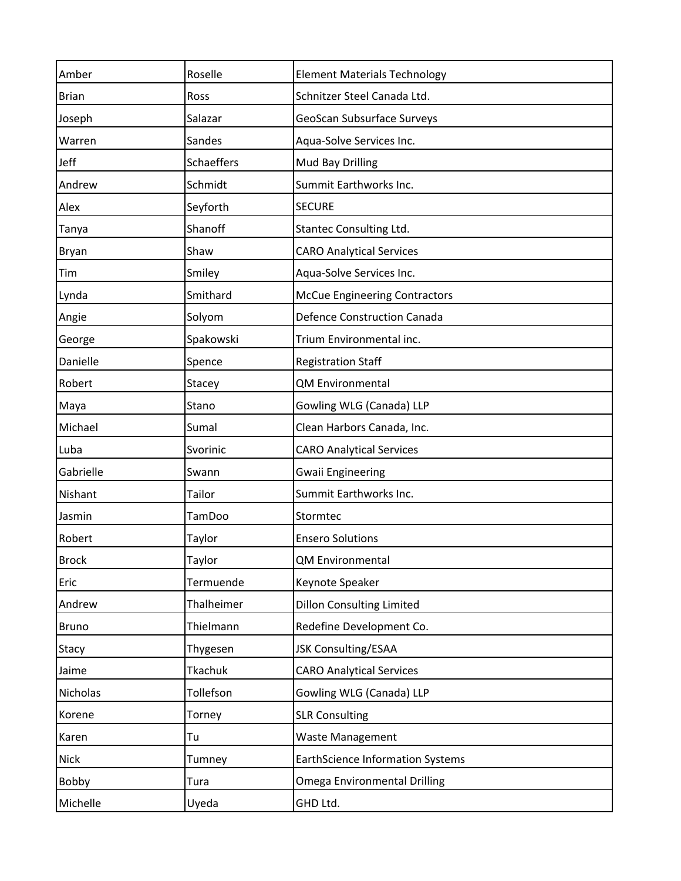| Amber        | Roselle    | <b>Element Materials Technology</b>     |
|--------------|------------|-----------------------------------------|
| <b>Brian</b> | Ross       | Schnitzer Steel Canada Ltd.             |
| Joseph       | Salazar    | GeoScan Subsurface Surveys              |
| Warren       | Sandes     | Aqua-Solve Services Inc.                |
| Jeff         | Schaeffers | Mud Bay Drilling                        |
| Andrew       | Schmidt    | Summit Earthworks Inc.                  |
| Alex         | Seyforth   | <b>SECURE</b>                           |
| Tanya        | Shanoff    | Stantec Consulting Ltd.                 |
| Bryan        | Shaw       | <b>CARO Analytical Services</b>         |
| Tim          | Smiley     | Aqua-Solve Services Inc.                |
| Lynda        | Smithard   | <b>McCue Engineering Contractors</b>    |
| Angie        | Solyom     | <b>Defence Construction Canada</b>      |
| George       | Spakowski  | Trium Environmental inc.                |
| Danielle     | Spence     | <b>Registration Staff</b>               |
| Robert       | Stacey     | <b>QM Environmental</b>                 |
| Maya         | Stano      | Gowling WLG (Canada) LLP                |
| Michael      | Sumal      | Clean Harbors Canada, Inc.              |
| Luba         | Svorinic   | <b>CARO Analytical Services</b>         |
| Gabrielle    | Swann      | <b>Gwaii Engineering</b>                |
| Nishant      | Tailor     | Summit Earthworks Inc.                  |
| Jasmin       | TamDoo     | Stormtec                                |
| Robert       | Taylor     | <b>Ensero Solutions</b>                 |
| <b>Brock</b> | Taylor     | QM Environmental                        |
| Eric         | Termuende  | Keynote Speaker                         |
| Andrew       | Thalheimer | <b>Dillon Consulting Limited</b>        |
| <b>Bruno</b> | Thielmann  | Redefine Development Co.                |
| Stacy        | Thygesen   | JSK Consulting/ESAA                     |
| Jaime        | Tkachuk    | <b>CARO Analytical Services</b>         |
| Nicholas     | Tollefson  | Gowling WLG (Canada) LLP                |
| Korene       | Torney     | <b>SLR Consulting</b>                   |
| Karen        | Tu         | <b>Waste Management</b>                 |
| <b>Nick</b>  | Tumney     | <b>EarthScience Information Systems</b> |
| Bobby        | Tura       | <b>Omega Environmental Drilling</b>     |
| Michelle     | Uyeda      | GHD Ltd.                                |